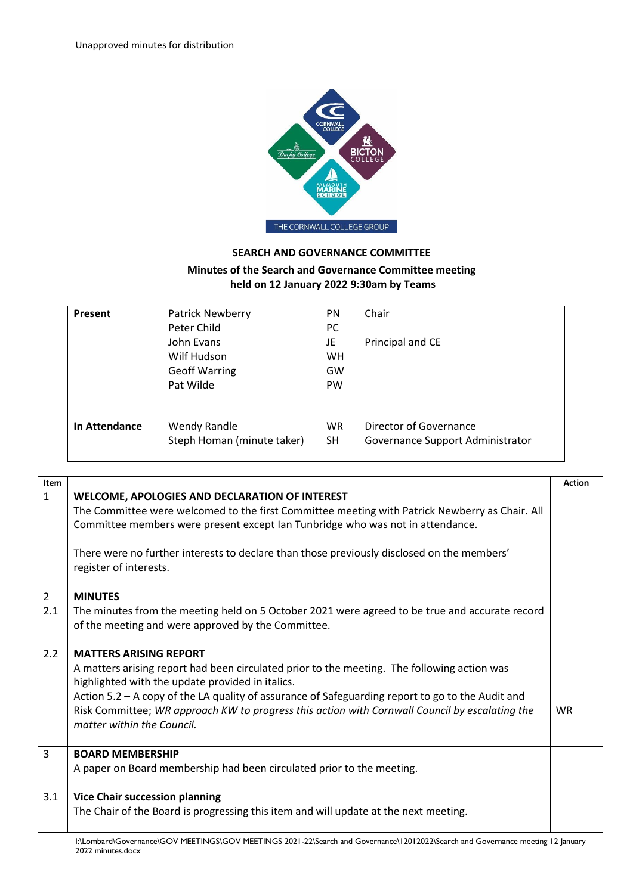

## **SEARCH AND GOVERNANCE COMMITTEE**

## **Minutes of the Search and Governance Committee meeting held on 12 January 2022 9:30am by Teams**

| Present       | <b>Patrick Newberry</b><br>Peter Child            | PN<br><b>PC</b>        | Chair                                                      |
|---------------|---------------------------------------------------|------------------------|------------------------------------------------------------|
|               | John Evans<br>Wilf Hudson                         | JE<br>WH               | Principal and CE                                           |
|               | <b>Geoff Warring</b>                              | GW                     |                                                            |
|               | Pat Wilde                                         | <b>PW</b>              |                                                            |
| In Attendance | <b>Wendy Randle</b><br>Steph Homan (minute taker) | <b>WR</b><br><b>SH</b> | Director of Governance<br>Governance Support Administrator |

| Item           |                                                                                                                                                      | <b>Action</b> |
|----------------|------------------------------------------------------------------------------------------------------------------------------------------------------|---------------|
| $\mathbf{1}$   | WELCOME, APOLOGIES AND DECLARATION OF INTEREST                                                                                                       |               |
|                | The Committee were welcomed to the first Committee meeting with Patrick Newberry as Chair. All                                                       |               |
|                | Committee members were present except Ian Tunbridge who was not in attendance.                                                                       |               |
|                | There were no further interests to declare than those previously disclosed on the members'<br>register of interests.                                 |               |
| $\overline{2}$ | <b>MINUTES</b>                                                                                                                                       |               |
| 2.1            | The minutes from the meeting held on 5 October 2021 were agreed to be true and accurate record<br>of the meeting and were approved by the Committee. |               |
| 2.2            | <b>MATTERS ARISING REPORT</b>                                                                                                                        |               |
|                | A matters arising report had been circulated prior to the meeting. The following action was<br>highlighted with the update provided in italics.      |               |
|                | Action 5.2 - A copy of the LA quality of assurance of Safeguarding report to go to the Audit and                                                     |               |
|                | Risk Committee; WR approach KW to progress this action with Cornwall Council by escalating the<br>matter within the Council.                         | <b>WR</b>     |
| 3              | <b>BOARD MEMBERSHIP</b>                                                                                                                              |               |
|                | A paper on Board membership had been circulated prior to the meeting.                                                                                |               |
| 3.1            | <b>Vice Chair succession planning</b>                                                                                                                |               |
|                | The Chair of the Board is progressing this item and will update at the next meeting.                                                                 |               |
|                | We amband Covenance COV MEETINICS COV MEETINICS 2021 22 Seemb and Covenance 12012023 Seemb and Covenance meeting 12 January                          |               |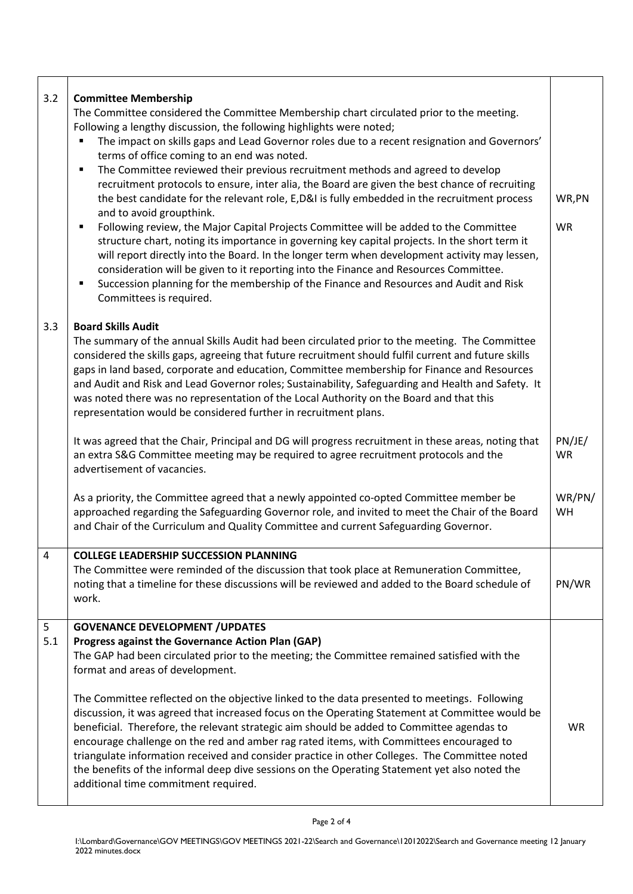| 3.2      | <b>Committee Membership</b><br>The Committee considered the Committee Membership chart circulated prior to the meeting.<br>Following a lengthy discussion, the following highlights were noted;<br>The impact on skills gaps and Lead Governor roles due to a recent resignation and Governors'<br>terms of office coming to an end was noted.<br>The Committee reviewed their previous recruitment methods and agreed to develop<br>$\blacksquare$<br>recruitment protocols to ensure, inter alia, the Board are given the best chance of recruiting<br>the best candidate for the relevant role, E,D&I is fully embedded in the recruitment process<br>and to avoid groupthink.<br>Following review, the Major Capital Projects Committee will be added to the Committee<br>٠<br>structure chart, noting its importance in governing key capital projects. In the short term it<br>will report directly into the Board. In the longer term when development activity may lessen,<br>consideration will be given to it reporting into the Finance and Resources Committee.<br>Succession planning for the membership of the Finance and Resources and Audit and Risk<br>٠<br>Committees is required. | WR,PN<br><b>WR</b>  |
|----------|-------------------------------------------------------------------------------------------------------------------------------------------------------------------------------------------------------------------------------------------------------------------------------------------------------------------------------------------------------------------------------------------------------------------------------------------------------------------------------------------------------------------------------------------------------------------------------------------------------------------------------------------------------------------------------------------------------------------------------------------------------------------------------------------------------------------------------------------------------------------------------------------------------------------------------------------------------------------------------------------------------------------------------------------------------------------------------------------------------------------------------------------------------------------------------------------------------|---------------------|
| 3.3      | <b>Board Skills Audit</b><br>The summary of the annual Skills Audit had been circulated prior to the meeting. The Committee<br>considered the skills gaps, agreeing that future recruitment should fulfil current and future skills<br>gaps in land based, corporate and education, Committee membership for Finance and Resources<br>and Audit and Risk and Lead Governor roles; Sustainability, Safeguarding and Health and Safety. It<br>was noted there was no representation of the Local Authority on the Board and that this<br>representation would be considered further in recruitment plans.                                                                                                                                                                                                                                                                                                                                                                                                                                                                                                                                                                                               |                     |
|          | It was agreed that the Chair, Principal and DG will progress recruitment in these areas, noting that<br>an extra S&G Committee meeting may be required to agree recruitment protocols and the<br>advertisement of vacancies.                                                                                                                                                                                                                                                                                                                                                                                                                                                                                                                                                                                                                                                                                                                                                                                                                                                                                                                                                                          | PN/JE/<br><b>WR</b> |
|          | As a priority, the Committee agreed that a newly appointed co-opted Committee member be<br>approached regarding the Safeguarding Governor role, and invited to meet the Chair of the Board<br>and Chair of the Curriculum and Quality Committee and current Safeguarding Governor.                                                                                                                                                                                                                                                                                                                                                                                                                                                                                                                                                                                                                                                                                                                                                                                                                                                                                                                    | WR/PN/<br>WH        |
| 4        | <b>COLLEGE LEADERSHIP SUCCESSION PLANNING</b><br>The Committee were reminded of the discussion that took place at Remuneration Committee,<br>noting that a timeline for these discussions will be reviewed and added to the Board schedule of<br>work.                                                                                                                                                                                                                                                                                                                                                                                                                                                                                                                                                                                                                                                                                                                                                                                                                                                                                                                                                | PN/WR               |
| 5<br>5.1 | <b>GOVENANCE DEVELOPMENT / UPDATES</b><br>Progress against the Governance Action Plan (GAP)<br>The GAP had been circulated prior to the meeting; the Committee remained satisfied with the<br>format and areas of development.                                                                                                                                                                                                                                                                                                                                                                                                                                                                                                                                                                                                                                                                                                                                                                                                                                                                                                                                                                        |                     |
|          | The Committee reflected on the objective linked to the data presented to meetings. Following<br>discussion, it was agreed that increased focus on the Operating Statement at Committee would be<br>beneficial. Therefore, the relevant strategic aim should be added to Committee agendas to<br>encourage challenge on the red and amber rag rated items, with Committees encouraged to<br>triangulate information received and consider practice in other Colleges. The Committee noted<br>the benefits of the informal deep dive sessions on the Operating Statement yet also noted the<br>additional time commitment required.                                                                                                                                                                                                                                                                                                                                                                                                                                                                                                                                                                     | <b>WR</b>           |

T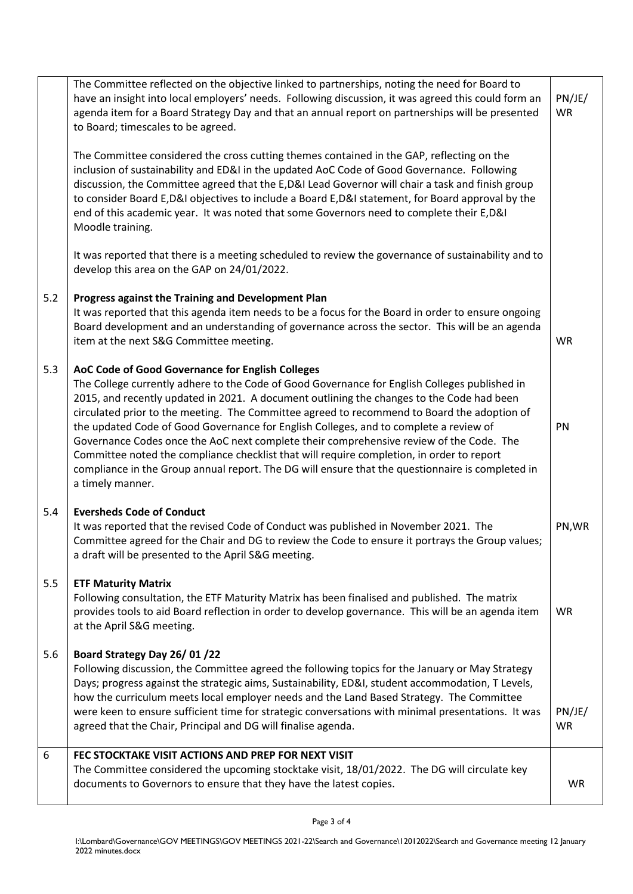|     | The Committee reflected on the objective linked to partnerships, noting the need for Board to<br>have an insight into local employers' needs. Following discussion, it was agreed this could form an<br>agenda item for a Board Strategy Day and that an annual report on partnerships will be presented<br>to Board; timescales to be agreed.                                                                                                                                                                                                                                                                                                                                                                                                         | PN/JE/<br><b>WR</b> |
|-----|--------------------------------------------------------------------------------------------------------------------------------------------------------------------------------------------------------------------------------------------------------------------------------------------------------------------------------------------------------------------------------------------------------------------------------------------------------------------------------------------------------------------------------------------------------------------------------------------------------------------------------------------------------------------------------------------------------------------------------------------------------|---------------------|
|     | The Committee considered the cross cutting themes contained in the GAP, reflecting on the<br>inclusion of sustainability and ED&I in the updated AoC Code of Good Governance. Following<br>discussion, the Committee agreed that the E,D&I Lead Governor will chair a task and finish group<br>to consider Board E,D&I objectives to include a Board E,D&I statement, for Board approval by the<br>end of this academic year. It was noted that some Governors need to complete their E, D&I<br>Moodle training.                                                                                                                                                                                                                                       |                     |
|     | It was reported that there is a meeting scheduled to review the governance of sustainability and to<br>develop this area on the GAP on 24/01/2022.                                                                                                                                                                                                                                                                                                                                                                                                                                                                                                                                                                                                     |                     |
| 5.2 | Progress against the Training and Development Plan<br>It was reported that this agenda item needs to be a focus for the Board in order to ensure ongoing<br>Board development and an understanding of governance across the sector. This will be an agenda<br>item at the next S&G Committee meeting.                                                                                                                                                                                                                                                                                                                                                                                                                                                  | WR                  |
| 5.3 | AoC Code of Good Governance for English Colleges<br>The College currently adhere to the Code of Good Governance for English Colleges published in<br>2015, and recently updated in 2021. A document outlining the changes to the Code had been<br>circulated prior to the meeting. The Committee agreed to recommend to Board the adoption of<br>the updated Code of Good Governance for English Colleges, and to complete a review of<br>Governance Codes once the AoC next complete their comprehensive review of the Code. The<br>Committee noted the compliance checklist that will require completion, in order to report<br>compliance in the Group annual report. The DG will ensure that the questionnaire is completed in<br>a timely manner. | PN                  |
| 5.4 | <b>Eversheds Code of Conduct</b><br>It was reported that the revised Code of Conduct was published in November 2021. The<br>Committee agreed for the Chair and DG to review the Code to ensure it portrays the Group values;<br>a draft will be presented to the April S&G meeting.                                                                                                                                                                                                                                                                                                                                                                                                                                                                    | PN, WR              |
| 5.5 | <b>ETF Maturity Matrix</b><br>Following consultation, the ETF Maturity Matrix has been finalised and published. The matrix<br>provides tools to aid Board reflection in order to develop governance. This will be an agenda item<br>at the April S&G meeting.                                                                                                                                                                                                                                                                                                                                                                                                                                                                                          | <b>WR</b>           |
| 5.6 | Board Strategy Day 26/01/22<br>Following discussion, the Committee agreed the following topics for the January or May Strategy<br>Days; progress against the strategic aims, Sustainability, ED&I, student accommodation, T Levels,<br>how the curriculum meets local employer needs and the Land Based Strategy. The Committee<br>were keen to ensure sufficient time for strategic conversations with minimal presentations. It was<br>agreed that the Chair, Principal and DG will finalise agenda.                                                                                                                                                                                                                                                 | PN/JE/<br><b>WR</b> |
| 6   | FEC STOCKTAKE VISIT ACTIONS AND PREP FOR NEXT VISIT<br>The Committee considered the upcoming stocktake visit, 18/01/2022. The DG will circulate key<br>documents to Governors to ensure that they have the latest copies.                                                                                                                                                                                                                                                                                                                                                                                                                                                                                                                              | <b>WR</b>           |